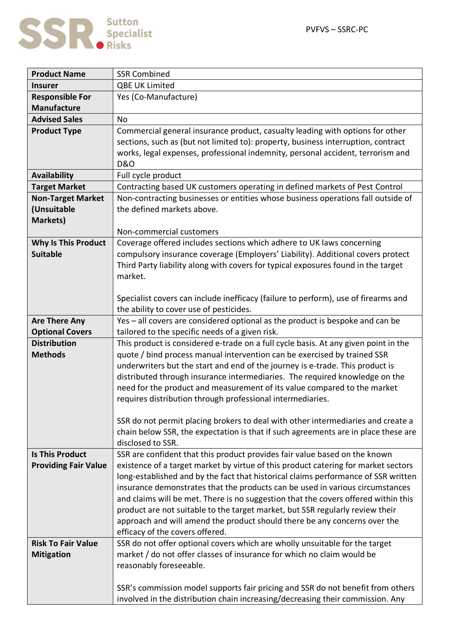

| <b>Product Name</b>         | <b>SSR Combined</b>                                                                 |
|-----------------------------|-------------------------------------------------------------------------------------|
| <b>Insurer</b>              | <b>QBE UK Limited</b>                                                               |
| <b>Responsible For</b>      | Yes (Co-Manufacture)                                                                |
| <b>Manufacture</b>          |                                                                                     |
| <b>Advised Sales</b>        | <b>No</b>                                                                           |
| <b>Product Type</b>         | Commercial general insurance product, casualty leading with options for other       |
|                             | sections, such as (but not limited to): property, business interruption, contract   |
|                             | works, legal expenses, professional indemnity, personal accident, terrorism and     |
|                             | <b>D&amp;O</b>                                                                      |
| <b>Availability</b>         | Full cycle product                                                                  |
| <b>Target Market</b>        | Contracting based UK customers operating in defined markets of Pest Control         |
| <b>Non-Target Market</b>    | Non-contracting businesses or entities whose business operations fall outside of    |
| (Unsuitable                 | the defined markets above.                                                          |
| Markets)                    |                                                                                     |
|                             | Non-commercial customers                                                            |
| <b>Why Is This Product</b>  | Coverage offered includes sections which adhere to UK laws concerning               |
| <b>Suitable</b>             | compulsory insurance coverage (Employers' Liability). Additional covers protect     |
|                             | Third Party liability along with covers for typical exposures found in the target   |
|                             | market.                                                                             |
|                             |                                                                                     |
|                             | Specialist covers can include inefficacy (failure to perform), use of firearms and  |
|                             | the ability to cover use of pesticides.                                             |
| <b>Are There Any</b>        | Yes - all covers are considered optional as the product is bespoke and can be       |
| <b>Optional Covers</b>      | tailored to the specific needs of a given risk.                                     |
| <b>Distribution</b>         | This product is considered e-trade on a full cycle basis. At any given point in the |
| <b>Methods</b>              | quote / bind process manual intervention can be exercised by trained SSR            |
|                             | underwriters but the start and end of the journey is e-trade. This product is       |
|                             | distributed through insurance intermediaries. The required knowledge on the         |
|                             | need for the product and measurement of its value compared to the market            |
|                             | requires distribution through professional intermediaries.                          |
|                             | SSR do not permit placing brokers to deal with other intermediaries and create a    |
|                             | chain below SSR, the expectation is that if such agreements are in place these are  |
|                             | disclosed to SSR.                                                                   |
| <b>Is This Product</b>      | SSR are confident that this product provides fair value based on the known          |
| <b>Providing Fair Value</b> | existence of a target market by virtue of this product catering for market sectors  |
|                             | long-established and by the fact that historical claims performance of SSR written  |
|                             | insurance demonstrates that the products can be used in various circumstances       |
|                             | and claims will be met. There is no suggestion that the covers offered within this  |
|                             | product are not suitable to the target market, but SSR regularly review their       |
|                             | approach and will amend the product should there be any concerns over the           |
|                             | efficacy of the covers offered.                                                     |
| <b>Risk To Fair Value</b>   | SSR do not offer optional covers which are wholly unsuitable for the target         |
| <b>Mitigation</b>           | market / do not offer classes of insurance for which no claim would be              |
|                             | reasonably foreseeable.                                                             |
|                             |                                                                                     |
|                             | SSR's commission model supports fair pricing and SSR do not benefit from others     |
|                             | involved in the distribution chain increasing/decreasing their commission. Any      |